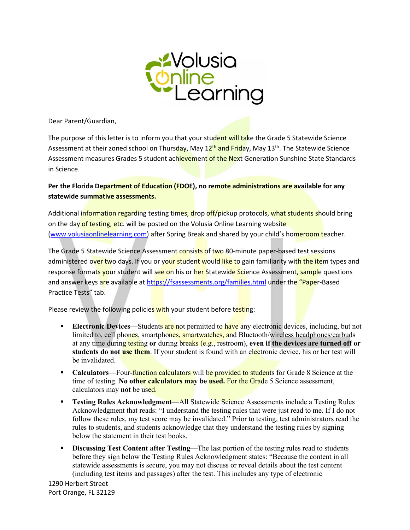

Dear Parent/Guardian,

The purpose of this letter is to inform you that your student will take the Grade 5 Statewide Science Assessment at their zoned school on Thursday, May 12<sup>th</sup> and Friday, May 13<sup>th</sup>. The Statewide Science Assessment measures Grades 5 student achievement of the Next Generation Sunshine State Standards in Science.

**Per the Florida Department of Education (FDOE), no remote administrations are available for any statewide summative assessments.** 

Additional information regarding testing times, drop off/pickup protocols, what students should bring on the day of testing, etc. will be posted on the Volusia Online Learning website [\(www.volusiaonlinelearning.com\)](http://www.volusiaonlinelearning.com/) after Spring Break and shared by your child's homeroom teacher.

The Grade 5 Statewide Science Assessment consists of two 80-minute paper-based test sessions administered over two days. If you or your student would like to gain familiarity with the item types and response formats your student will see on his or her Statewide Science Assessment, sample questions and answer keys are available at<https://fsassessments.org/families.html> under the "Paper-Based Practice Tests" tab.

Please review the following policies with your student before testing:

- **Electronic Devices—Students are not permitted to have any electronic devices, including, but not** limited to, cell phones, smartphones, smartwatches, and Bluetooth/wireless headphones/earbuds at any time during testing **or** during breaks (e.g., restroom), **even if the devices are turned off or students do not use them**. If your student is found with an electronic device, his or her test will be invalidated.
- **Calculators—Four-function calculators will be provided to students** for Grade 8 Science at the time of testing. **No other calculators may be used.** For the Grade 5 Science assessment, calculators may **not** be used.
- **Testing Rules Acknowledgment**—All Statewide Science Assessments include a Testing Rules Acknowledgment that reads: "I understand the testing rules that were just read to me. If I do not follow these rules, my test score may be invalidated." Prior to testing, test administrators read the rules to students, and students acknowledge that they understand the testing rules by signing below the statement in their test books.
- **Discussing Test Content after Testing—The last portion of the testing rules read to students** before they sign below the Testing Rules Acknowledgment states: "Because the content in all statewide assessments is secure, you may not discuss or reveal details about the test content (including test items and passages) after the test. This includes any type of electronic

1290 Herbert Street Port Orange, FL 32129